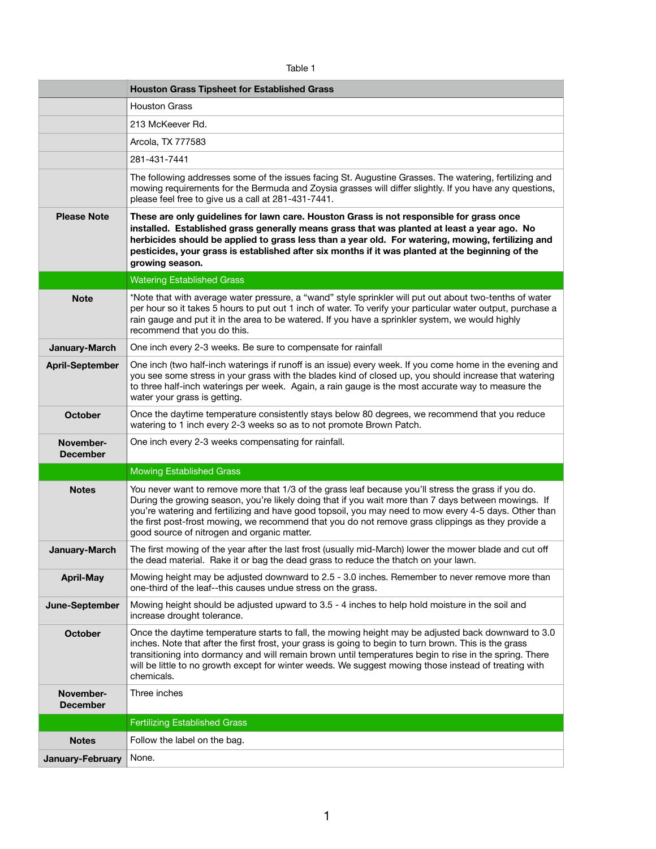| а | יומי |  |
|---|------|--|
|   |      |  |

|                              | <b>Houston Grass Tipsheet for Established Grass</b>                                                                                                                                                                                                                                                                                                                                                                                                                       |
|------------------------------|---------------------------------------------------------------------------------------------------------------------------------------------------------------------------------------------------------------------------------------------------------------------------------------------------------------------------------------------------------------------------------------------------------------------------------------------------------------------------|
|                              | <b>Houston Grass</b>                                                                                                                                                                                                                                                                                                                                                                                                                                                      |
|                              | 213 McKeever Rd.                                                                                                                                                                                                                                                                                                                                                                                                                                                          |
|                              | Arcola, TX 777583                                                                                                                                                                                                                                                                                                                                                                                                                                                         |
|                              | 281-431-7441                                                                                                                                                                                                                                                                                                                                                                                                                                                              |
|                              | The following addresses some of the issues facing St. Augustine Grasses. The watering, fertilizing and<br>mowing requirements for the Bermuda and Zoysia grasses will differ slightly. If you have any questions,<br>please feel free to give us a call at 281-431-7441.                                                                                                                                                                                                  |
| <b>Please Note</b>           | These are only guidelines for lawn care. Houston Grass is not responsible for grass once<br>installed. Established grass generally means grass that was planted at least a year ago. No<br>herbicides should be applied to grass less than a year old. For watering, mowing, fertilizing and<br>pesticides, your grass is established after six months if it was planted at the beginning of the<br>growing season.                                                       |
|                              | <b>Watering Established Grass</b>                                                                                                                                                                                                                                                                                                                                                                                                                                         |
| <b>Note</b>                  | *Note that with average water pressure, a "wand" style sprinkler will put out about two-tenths of water<br>per hour so it takes 5 hours to put out 1 inch of water. To verify your particular water output, purchase a<br>rain gauge and put it in the area to be watered. If you have a sprinkler system, we would highly<br>recommend that you do this.                                                                                                                 |
| <b>January-March</b>         | One inch every 2-3 weeks. Be sure to compensate for rainfall                                                                                                                                                                                                                                                                                                                                                                                                              |
| <b>April-September</b>       | One inch (two half-inch waterings if runoff is an issue) every week. If you come home in the evening and<br>you see some stress in your grass with the blades kind of closed up, you should increase that watering<br>to three half-inch waterings per week. Again, a rain gauge is the most accurate way to measure the<br>water your grass is getting.                                                                                                                  |
| <b>October</b>               | Once the daytime temperature consistently stays below 80 degrees, we recommend that you reduce<br>watering to 1 inch every 2-3 weeks so as to not promote Brown Patch.                                                                                                                                                                                                                                                                                                    |
| November-<br><b>December</b> | One inch every 2-3 weeks compensating for rainfall.                                                                                                                                                                                                                                                                                                                                                                                                                       |
|                              | <b>Mowing Established Grass</b>                                                                                                                                                                                                                                                                                                                                                                                                                                           |
| <b>Notes</b>                 | You never want to remove more that 1/3 of the grass leaf because you'll stress the grass if you do.<br>During the growing season, you're likely doing that if you wait more than 7 days between mowings. If<br>you're watering and fertilizing and have good topsoil, you may need to mow every 4-5 days. Other than<br>the first post-frost mowing, we recommend that you do not remove grass clippings as they provide a<br>good source of nitrogen and organic matter. |
| <b>January-March</b>         | The first mowing of the year after the last frost (usually mid-March) lower the mower blade and cut off<br>the dead material. Rake it or bag the dead grass to reduce the thatch on your lawn.                                                                                                                                                                                                                                                                            |
| <b>April-May</b>             | Mowing height may be adjusted downward to 2.5 - 3.0 inches. Remember to never remove more than<br>one-third of the leaf--this causes undue stress on the grass.                                                                                                                                                                                                                                                                                                           |
| June-September               | Mowing height should be adjusted upward to 3.5 - 4 inches to help hold moisture in the soil and<br>increase drought tolerance.                                                                                                                                                                                                                                                                                                                                            |
| <b>October</b>               | Once the daytime temperature starts to fall, the mowing height may be adjusted back downward to 3.0<br>inches. Note that after the first frost, your grass is going to begin to turn brown. This is the grass<br>transitioning into dormancy and will remain brown until temperatures begin to rise in the spring. There<br>will be little to no growth except for winter weeds. We suggest mowing those instead of treating with<br>chemicals.                           |
| November-<br><b>December</b> | Three inches                                                                                                                                                                                                                                                                                                                                                                                                                                                              |
|                              | <b>Fertilizing Established Grass</b>                                                                                                                                                                                                                                                                                                                                                                                                                                      |
| <b>Notes</b>                 | Follow the label on the bag.                                                                                                                                                                                                                                                                                                                                                                                                                                              |
| January-February             | None.                                                                                                                                                                                                                                                                                                                                                                                                                                                                     |